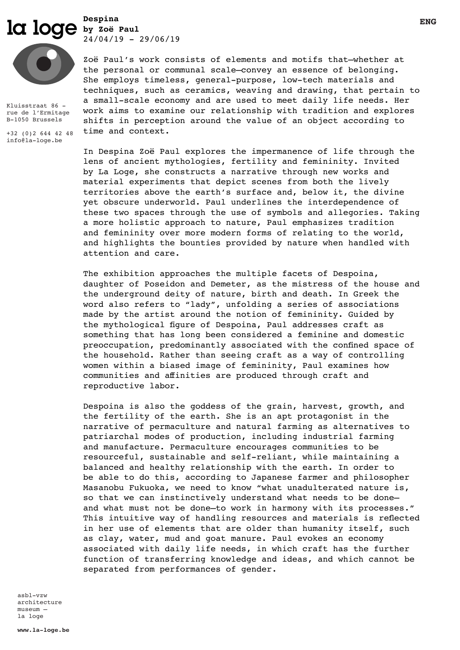$\overline{\text{log}}$   $\overline{\text{log}}$   $\overline{\text{log}}$   $\overline{\text{log}}$   $\overline{\text{log}}$   $\overline{\text{log}}$   $\overline{\text{log}}$   $\overline{\text{log}}$   $\overline{\text{log}}$   $\overline{\text{log}}$   $\overline{\text{log}}$   $\overline{\text{log}}$   $\overline{\text{log}}$   $\overline{\text{log}}$   $\overline{\text{log}}$   $\overline{\text{log}}$   $\overline{\text{log}}$   $\overline{\text{log}}$   $\overline{\text{log}}$   $\overline{\text{log}}$  **Despina** 

 $24/04/19 - 29/06/19$ 



Kluisstraat 86 rue de l'Ermitage B-1050 Brussels

+32 (0)2 644 42 48 info@la-loge.be

Zoë Paul's work consists of elements and motifs that—whether at the personal or communal scale—convey an essence of belonging. She employs timeless, general-purpose, low-tech materials and techniques, such as ceramics, weaving and drawing, that pertain to a small-scale economy and are used to meet daily life needs. Her work aims to examine our relationship with tradition and explores shifts in perception around the value of an object according to time and context.

In Despina Zoë Paul explores the impermanence of life through the lens of ancient mythologies, fertility and femininity. Invited by La Loge, she constructs a narrative through new works and material experiments that depict scenes from both the lively territories above the earth's surface and, below it, the divine yet obscure underworld. Paul underlines the interdependence of these two spaces through the use of symbols and allegories. Taking a more holistic approach to nature, Paul emphasizes tradition and femininity over more modern forms of relating to the world, and highlights the bounties provided by nature when handled with attention and care.

The exhibition approaches the multiple facets of Despoina, daughter of Poseidon and Demeter, as the mistress of the house and the underground deity of nature, birth and death. In Greek the word also refers to "lady", unfolding a series of associations made by the artist around the notion of femininity. Guided by the mythological figure of Despoina, Paul addresses craft as something that has long been considered a feminine and domestic preoccupation, predominantly associated with the confined space of the household. Rather than seeing craft as a way of controlling women within a biased image of femininity, Paul examines how communities and affinities are produced through craft and reproductive labor.

Despoina is also the goddess of the grain, harvest, growth, and the fertility of the earth. She is an apt protagonist in the narrative of permaculture and natural farming as alternatives to patriarchal modes of production, including industrial farming and manufacture. Permaculture encourages communities to be resourceful, sustainable and self-reliant, while maintaining a balanced and healthy relationship with the earth. In order to be able to do this, according to Japanese farmer and philosopher Masanobu Fukuoka, we need to know "what unadulterated nature is, so that we can instinctively understand what needs to be done and what must not be done—to work in harmony with its processes." This intuitive way of handling resources and materials is reflected in her use of elements that are older than humanity itself, such as clay, water, mud and goat manure. Paul evokes an economy associated with daily life needs, in which craft has the further function of transferring knowledge and ideas, and which cannot be separated from performances of gender.

asbl-vzw architecture museum – la loge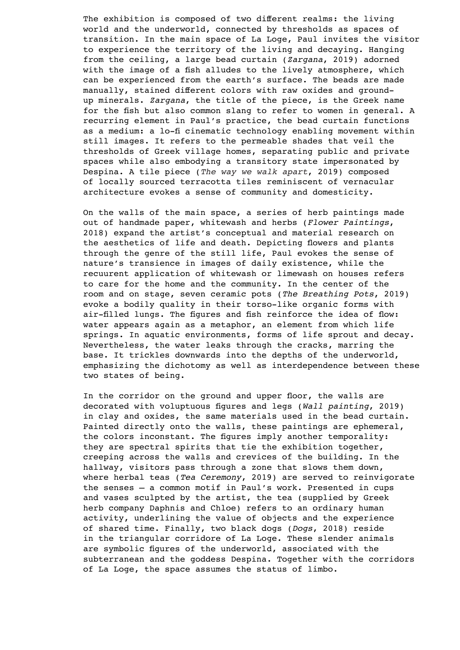The exhibition is composed of two different realms: the living world and the underworld, connected by thresholds as spaces of transition. In the main space of La Loge, Paul invites the visitor to experience the territory of the living and decaying. Hanging from the ceiling, a large bead curtain (*Zargana*, 2019) adorned with the image of a fish alludes to the lively atmosphere, which can be experienced from the earth's surface. The beads are made manually, stained different colors with raw oxides and groundup minerals. *Zargana*, the title of the piece, is the Greek name for the fish but also common slang to refer to women in general. A recurring element in Paul's practice, the bead curtain functions as a medium: a lo-fi cinematic technology enabling movement within still images. It refers to the permeable shades that veil the thresholds of Greek village homes, separating public and private spaces while also embodying a transitory state impersonated by Despina. A tile piece (*The way we walk apart*, 2019) composed of locally sourced terracotta tiles reminiscent of vernacular architecture evokes a sense of community and domesticity.

On the walls of the main space, a series of herb paintings made out of handmade paper, whitewash and herbs (*Flower Paintings*, 2018) expand the artist's conceptual and material research on the aesthetics of life and death. Depicting flowers and plants through the genre of the still life, Paul evokes the sense of nature's transience in images of daily existence, while the recuurent application of whitewash or limewash on houses refers to care for the home and the community. In the center of the room and on stage, seven ceramic pots (*The Breathing Pots*, 2019) evoke a bodily quality in their torso-like organic forms with air-filled lungs. The figures and fish reinforce the idea of flow: water appears again as a metaphor, an element from which life springs. In aquatic environments, forms of life sprout and decay. Nevertheless, the water leaks through the cracks, marring the base. It trickles downwards into the depths of the underworld, emphasizing the dichotomy as well as interdependence between these two states of being.

In the corridor on the ground and upper floor, the walls are decorated with voluptuous figures and legs (*Wall painting*, 2019) in clay and oxides, the same materials used in the bead curtain. Painted directly onto the walls, these paintings are ephemeral, the colors inconstant. The figures imply another temporality: they are spectral spirits that tie the exhibition together, creeping across the walls and crevices of the building. In the hallway, visitors pass through a zone that slows them down, where herbal teas (*Tea Ceremony*, 2019) are served to reinvigorate the senses — a common motif in Paul's work. Presented in cups and vases sculpted by the artist, the tea (supplied by Greek herb company Daphnis and Chloe) refers to an ordinary human activity, underlining the value of objects and the experience of shared time. Finally, two black dogs (*Dogs*, 2018) reside in the triangular corridore of La Loge. These slender animals are symbolic figures of the underworld, associated with the subterranean and the goddess Despina. Together with the corridors of La Loge, the space assumes the status of limbo.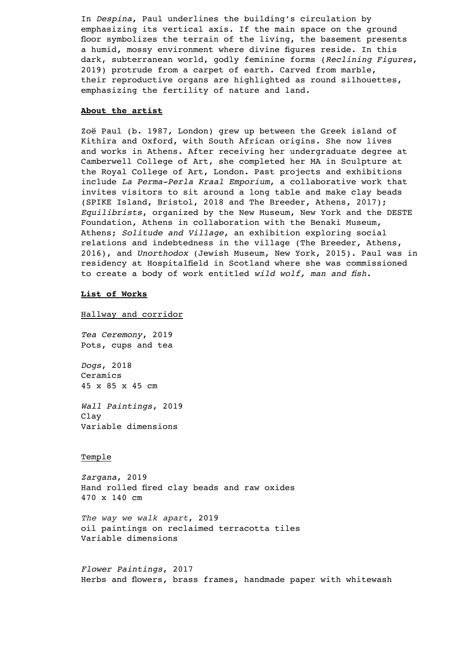In *Despina*, Paul underlines the building's circulation by emphasizing its vertical axis. If the main space on the ground floor symbolizes the terrain of the living, the basement presents a humid, mossy environment where divine figures reside. In this dark, subterranean world, godly feminine forms (*Reclining Figures*, 2019) protrude from a carpet of earth. Carved from marble, their reproductive organs are highlighted as round silhouettes, emphasizing the fertility of nature and land.

# **About the artist**

Zoë Paul (b. 1987, London) grew up between the Greek island of Kithira and Oxford, with South African origins. She now lives and works in Athens. After receiving her undergraduate degree at Camberwell College of Art, she completed her MA in Sculpture at the Royal College of Art, London. Past projects and exhibitions include *La Perma-Perla Kraal Emporium*, a collaborative work that invites visitors to sit around a long table and make clay beads (SPIKE Island, Bristol, 2018 and The Breeder, Athens, 2017); *Equilibrists*, organized by the New Museum, New York and the DESTE Foundation, Athens in collaboration with the Benaki Museum, Athens; *Solitude and Village*, an exhibition exploring social relations and indebtedness in the village (The Breeder, Athens, 2016), and *Unorthodox* (Jewish Museum, New York, 2015). Paul was in residency at Hospitalfield in Scotland where she was commissioned to create a body of work entitled *wild wolf, man and fish*.

#### **List of Works**

Hallway and corridor

*Tea Ceremony*, 2019 Pots, cups and tea

*Dogs*, 2018 Ceramics 45 x 85 x 45 cm

*Wall Paintings*, 2019 Clay Variable dimensions

### Temple

*Zargana*, 2019 Hand rolled fired clay beads and raw oxides 470 x 140 cm

*The way we walk apart*, 2019 oil paintings on reclaimed terracotta tiles Variable dimensions

*Flower Paintings*, 2017 Herbs and flowers, brass frames, handmade paper with whitewash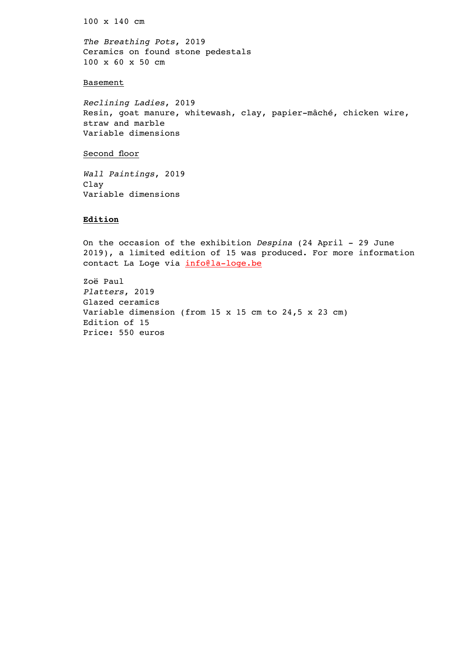100 x 140 cm

*The Breathing Pots*, 2019 Ceramics on found stone pedestals 100 x 60 x 50 cm

# Basement

*Reclining Ladies*, 2019 Resin, goat manure, whitewash, clay, papier-mâché, chicken wire, straw and marble Variable dimensions

# Second floor

*Wall Paintings*, 2019 Clay Variable dimensions

# **Edition**

On the occasion of the exhibition *Despina* (24 April - 29 June 2019), a limited edition of 15 was produced. For more information contact La Loge via info@la-loge.be

Zoë Paul *Platters*, 2019 Glazed ceramics Variable dimension (from 15 x 15 cm to 24,5 x 23 cm) Edition of 15 Price: 550 euros